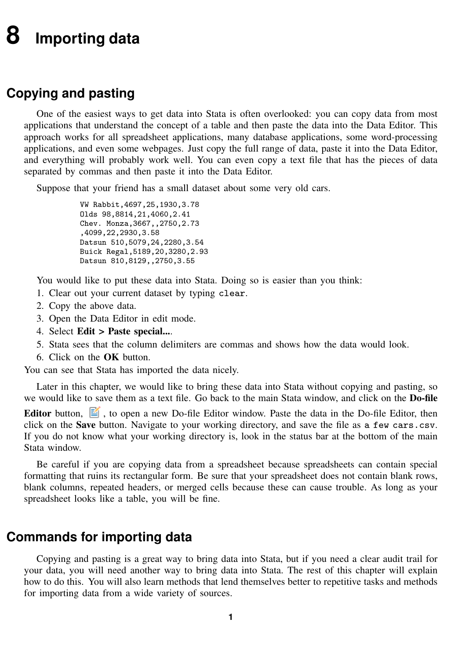# <span id="page-0-1"></span><span id="page-0-0"></span>**8 Importing data**

## **Copying and pasting**

One of the easiest ways to get data into Stata is often overlooked: you can copy data from most applications that understand the concept of a table and then paste the data into the Data Editor. This approach works for all spreadsheet applications, many database applications, some word-processing applications, and even some webpages. Just copy the full range of data, paste it into the Data Editor, and everything will probably work well. You can even copy a text file that has the pieces of data separated by commas and then paste it into the Data Editor.

Suppose that your friend has a small dataset about some very old cars.

VW Rabbit,4697,25,1930,3.78 Olds 98,8814,21,4060,2.41 Chev. Monza,3667,,2750,2.73 ,4099,22,2930,3.58 Datsun 510,5079,24,2280,3.54 Buick Regal,5189,20,3280,2.93 Datsun 810,8129,,2750,3.55

You would like to put these data into Stata. Doing so is easier than you think:

- 1. Clear out your current dataset by typing clear.
- 2. Copy the above data.
- 3. Open the Data Editor in edit mode.
- 4. Select Edit > Paste special....
- 5. Stata sees that the column delimiters are commas and shows how the data would look.
- 6. Click on the OK button.

You can see that Stata has imported the data nicely.

Later in this chapter, we would like to bring these data into Stata without copying and pasting, so we would like to save them as a text file. Go back to the main Stata window, and click on the Do-file

**Editor** button,  $\Box$ , to open a new Do-file Editor window. Paste the data in the Do-file Editor, then click on the Save button. Navigate to your working directory, and save the file as a few cars.csv. If you do not know what your working directory is, look in the status bar at the bottom of the main Stata window.

Be careful if you are copying data from a spreadsheet because spreadsheets can contain special formatting that ruins its rectangular form. Be sure that your spreadsheet does not contain blank rows, blank columns, repeated headers, or merged cells because these can cause trouble. As long as your spreadsheet looks like a table, you will be fine.

### **Commands for importing data**

Copying and pasting is a great way to bring data into Stata, but if you need a clear audit trail for your data, you will need another way to bring data into Stata. The rest of this chapter will explain how to do this. You will also learn methods that lend themselves better to repetitive tasks and methods for importing data from a wide variety of sources.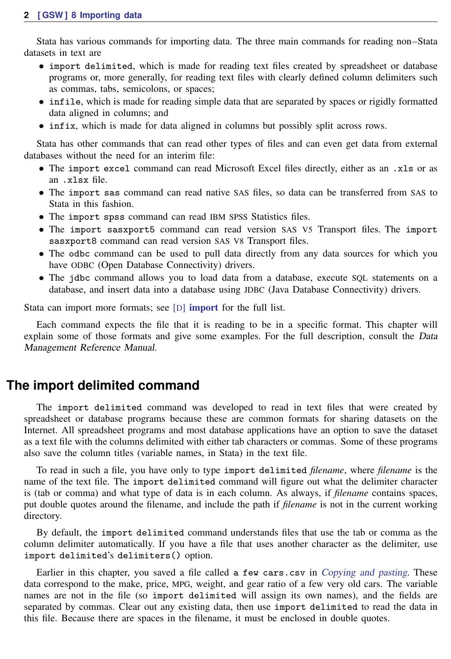Stata has various commands for importing data. The three main commands for reading non–Stata datasets in text are

- import delimited, which is made for reading text files created by spreadsheet or database programs or, more generally, for reading text files with clearly defined column delimiters such as commas, tabs, semicolons, or spaces;
- infile, which is made for reading simple data that are separated by spaces or rigidly formatted data aligned in columns; and
- infix, which is made for data aligned in columns but possibly split across rows.

Stata has other commands that can read other types of files and can even get data from external databases without the need for an interim file:

- The import excel command can read Microsoft Excel files directly, either as an .xls or as an .xlsx file.
- The import sas command can read native SAS files, so data can be transferred from SAS to Stata in this fashion.
- The import spss command can read IBM SPSS Statistics files.
- The import sasxport5 command can read version SAS V5 Transport files. The import sasxport8 command can read version SAS V8 Transport files.
- The odbc command can be used to pull data directly from any data sources for which you have ODBC (Open Database Connectivity) drivers.
- The jdbc command allows you to load data from a database, execute SQL statements on a database, and insert data into a database using JDBC (Java Database Connectivity) drivers.

Stata can [import](https://www.stata.com/manuals/dimport.pdf#dimport) more formats; see [D] **import** for the full list.

Each command expects the file that it is reading to be in a specific format. This chapter will explain some of those formats and give some examples. For the full description, consult the Data Management Reference Manual.

#### **The import delimited command**

The import delimited command was developed to read in text files that were created by spreadsheet or database programs because these are common formats for sharing datasets on the Internet. All spreadsheet programs and most database applications have an option to save the dataset as a text file with the columns delimited with either tab characters or commas. Some of these programs also save the column titles (variable names, in Stata) in the text file.

To read in such a file, you have only to type import delimited *filename*, where *filename* is the name of the text file. The import delimited command will figure out what the delimiter character is (tab or comma) and what type of data is in each column. As always, if *filename* contains spaces, put double quotes around the filename, and include the path if *filename* is not in the current working directory.

By default, the import delimited command understands files that use the tab or comma as the column delimiter automatically. If you have a file that uses another character as the delimiter, use import delimited's delimiters() option.

Earlier in this chapter, you saved a file called a few cars.csv in [Copying and pasting](#page-0-1). These data correspond to the make, price, MPG, weight, and gear ratio of a few very old cars. The variable names are not in the file (so import delimited will assign its own names), and the fields are separated by commas. Clear out any existing data, then use import delimited to read the data in this file. Because there are spaces in the filename, it must be enclosed in double quotes.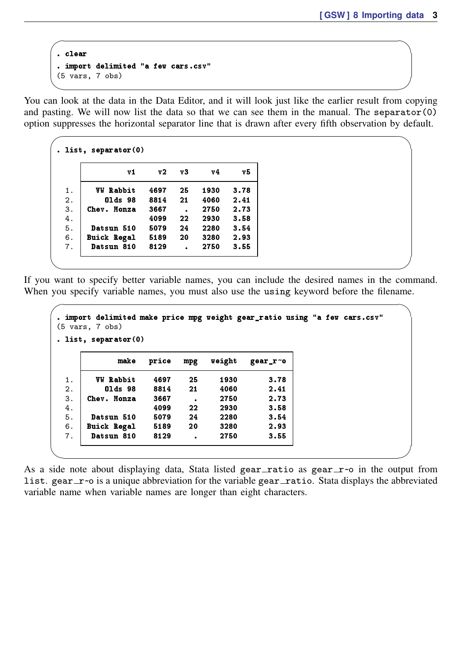```
. clear
. import delimited "a few cars.csv"<br>(5 vars, 7 obs)
(5 \text{ vars}, 7 \text{ obs})
```
You can look at the data in the Data Editor, and it will look just like the earlier result from copying and pasting. We will now list the data so that we can see them in the manual. The separator $(0)$ option suppresses the horizontal separator line that is drawn after every fifth observation by default.

 $\sqrt{2\pi\left(\frac{1}{2}\right)^2+\left(\frac{1}{2}\right)^2+\left(\frac{1}{2}\right)^2+\left(\frac{1}{2}\right)^2+\left(\frac{1}{2}\right)^2+\left(\frac{1}{2}\right)^2+\left(\frac{1}{2}\right)^2+\left(\frac{1}{2}\right)^2+\left(\frac{1}{2}\right)^2+\left(\frac{1}{2}\right)^2+\left(\frac{1}{2}\right)^2+\left(\frac{1}{2}\right)^2+\left(\frac{1}{2}\right)^2+\left(\frac{1}{2}\right)^2+\left(\frac{1}{2}\right)^2+\left(\frac{1}{2}\right)^2+\left(\frac{1}{2}\right)^2+\left(\frac{1}{2}\right$ 

| v1                 | V <sub>2</sub> | v3                   | ν4   | v5   |
|--------------------|----------------|----------------------|------|------|
| <b>VW Rabbit</b>   | 4697           | 25                   | 1930 | 3.78 |
| 01ds 98            | 8814           | 21                   | 4060 | 2.41 |
| Chev. Monza        | 3667           | $\ddot{\phantom{0}}$ | 2750 | 2.73 |
|                    | 4099           | 22                   | 2930 | 3.58 |
| Datsun 510         | 5079           | 24                   | 2280 | 3.54 |
| <b>Buick Regal</b> | 5189           | 20                   | 3280 | 2.93 |
| Datsun 810         | 8129           | $\ddot{\phantom{0}}$ | 2750 | 3.55 |

If you want to specify better variable names, you can include the desired names in the command. When you specify variable names, you must also use the using keyword before the filename.

✖ ✕

```
\overline{\phantom{0}}. import delimited make price mpg weight gear_ratio using "a few cars.csv"
(5 vars, 7 obs)
. list, separator(0)
          make price mpg weight gear_r~o
  1. VW Rabbit 4697 25 1930 3.78
  2. Olds 98 8814 21 4060 2.41
  3. Chev. Monza 3667 . 2750 2.73<br>4. 4099 22 2930 3.58
  4. 4099 22 2930 3.58
  5. Datsun 510 5079 24 2280 3.54
  6. Buick Regal 5189 20 3280 2.93
      Datsun 810 8129 .
✖ ✕
```
As a side note about displaying data, Stata listed gear\_ratio as gear\_r~o in the output from list. gear\_r~o is a unique abbreviation for the variable gear\_ratio. Stata displays the abbreviated variable name when variable names are longer than eight characters.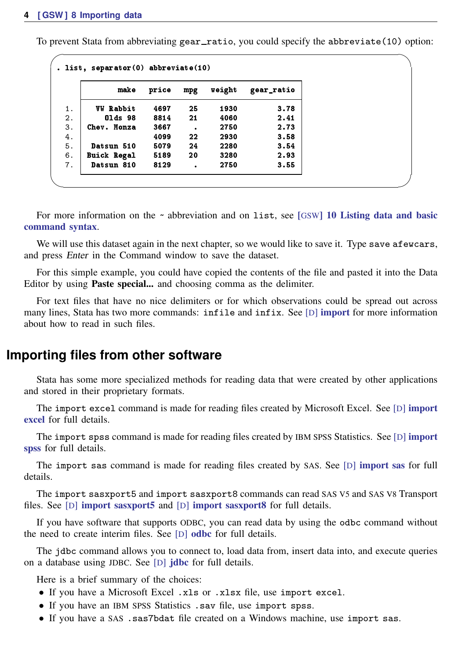To prevent Stata from abbreviating gear\_ratio, you could specify the abbreviate(10) option:

| make |                    | price | mpg       | weight | gear_ratio |
|------|--------------------|-------|-----------|--------|------------|
|      |                    |       |           |        |            |
|      | <b>VW Rabbit</b>   | 4697  | 25        | 1930   | 3.78       |
|      | 01ds 98            | 8814  | 21        | 4060   | 2.41       |
|      | Chev. Monza        | 3667  | $\bullet$ | 2750   | 2.73       |
|      |                    | 4099  | 22        | 2930   | 3.58       |
|      | Datsun 510         | 5079  | 24        | 2280   | 3.54       |
|      | <b>Buick Regal</b> | 5189  | 20        | 3280   | 2.93       |
|      | Datsun 810         | 8129  |           | 2750   | 3.55       |

For more information on the ~ abbreviation and on list, see [GSW[\] 10 Listing data and basic](https://www.stata.com/manuals/gsw10.pdf#gsw10Listingdataandbasiccommandsyntax) [command syntax](https://www.stata.com/manuals/gsw10.pdf#gsw10Listingdataandbasiccommandsyntax).

We will use this dataset again in the next chapter, so we would like to save it. Type save afewcars, and press Enter in the Command window to save the dataset.

For this simple example, you could have copied the contents of the file and pasted it into the Data Editor by using Paste special... and choosing comma as the delimiter.

For text files that have no nice delimiters or for which observations could be spread out across many lines, Stata has two more commands: infile and infix. See [D] [import](https://www.stata.com/manuals/dimport.pdf#dimport) for more information about how to read in such files.

#### **Importing files from other software**

Stata has some more specialized methods for reading data that were created by other applications and stored in their proprietary formats.

The [import](https://www.stata.com/manuals/dimportexcel.pdf#dimportexcel) excel command is made for reading files created by Microsoft Excel. See [D] import [excel](https://www.stata.com/manuals/dimportexcel.pdf#dimportexcel) for full details.

The [import](https://www.stata.com/manuals/dimportspss.pdf#dimportspss) spss command is made for reading files created by IBM SPSS Statistics. See [D] import [spss](https://www.stata.com/manuals/dimportspss.pdf#dimportspss) for full details.

The import sas command is made for reading files created by SAS. See [D] [import sas](https://www.stata.com/manuals/dimportsas.pdf#dimportsas) for full details.

The import sasxport5 and import sasxport8 commands can read SAS V5 and SAS V8 Transport files. See [D] [import sasxport5](https://www.stata.com/manuals/dimportsasxport5.pdf#dimportsasxport5) and [D] [import sasxport8](https://www.stata.com/manuals/dimportsasxport8.pdf#dimportsasxport8) for full details.

If you have software that supports ODBC, you can read data by using the odbc command without the need to create interim files. See [D] [odbc](https://www.stata.com/manuals/dodbc.pdf#dodbc) for full details.

The jdbc command allows you to connect to, load data from, insert data into, and execute queries on a database using JDBC. See [D] **[jdbc](https://www.stata.com/manuals/djdbc.pdf#djdbc)** for full details.

Here is a brief summary of the choices:

- If you have a Microsoft Excel .xls or .xlsx file, use import excel.
- If you have an IBM SPSS Statistics .sav file, use import spss.
- If you have a SAS .sas7bdat file created on a Windows machine, use import sas.